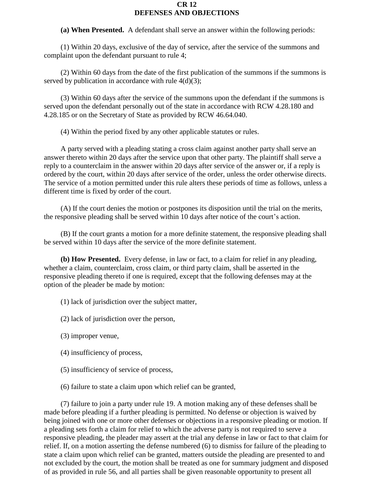## **CR 12 DEFENSES AND OBJECTIONS**

**(a) When Presented.** A defendant shall serve an answer within the following periods:

(1) Within 20 days, exclusive of the day of service, after the service of the summons and complaint upon the defendant pursuant to rule 4;

(2) Within 60 days from the date of the first publication of the summons if the summons is served by publication in accordance with rule  $4(d)(3)$ ;

(3) Within 60 days after the service of the summons upon the defendant if the summons is served upon the defendant personally out of the state in accordance with RCW 4.28.180 and 4.28.185 or on the Secretary of State as provided by RCW 46.64.040.

(4) Within the period fixed by any other applicable statutes or rules.

A party served with a pleading stating a cross claim against another party shall serve an answer thereto within 20 days after the service upon that other party. The plaintiff shall serve a reply to a counterclaim in the answer within 20 days after service of the answer or, if a reply is ordered by the court, within 20 days after service of the order, unless the order otherwise directs. The service of a motion permitted under this rule alters these periods of time as follows, unless a different time is fixed by order of the court.

(A) If the court denies the motion or postpones its disposition until the trial on the merits, the responsive pleading shall be served within 10 days after notice of the court's action.

(B) If the court grants a motion for a more definite statement, the responsive pleading shall be served within 10 days after the service of the more definite statement.

**(b) How Presented.** Every defense, in law or fact, to a claim for relief in any pleading, whether a claim, counterclaim, cross claim, or third party claim, shall be asserted in the responsive pleading thereto if one is required, except that the following defenses may at the option of the pleader be made by motion:

(1) lack of jurisdiction over the subject matter,

(2) lack of jurisdiction over the person,

(3) improper venue,

(4) insufficiency of process,

(5) insufficiency of service of process,

(6) failure to state a claim upon which relief can be granted,

(7) failure to join a party under rule 19. A motion making any of these defenses shall be made before pleading if a further pleading is permitted. No defense or objection is waived by being joined with one or more other defenses or objections in a responsive pleading or motion. If a pleading sets forth a claim for relief to which the adverse party is not required to serve a responsive pleading, the pleader may assert at the trial any defense in law or fact to that claim for relief. If, on a motion asserting the defense numbered (6) to dismiss for failure of the pleading to state a claim upon which relief can be granted, matters outside the pleading are presented to and not excluded by the court, the motion shall be treated as one for summary judgment and disposed of as provided in rule 56, and all parties shall be given reasonable opportunity to present all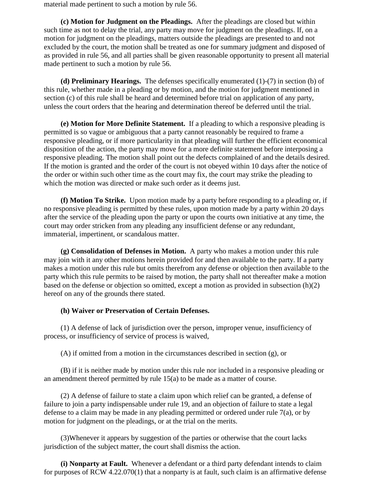material made pertinent to such a motion by rule 56.

**(c) Motion for Judgment on the Pleadings.** After the pleadings are closed but within such time as not to delay the trial, any party may move for judgment on the pleadings. If, on a motion for judgment on the pleadings, matters outside the pleadings are presented to and not excluded by the court, the motion shall be treated as one for summary judgment and disposed of as provided in rule 56, and all parties shall be given reasonable opportunity to present all material made pertinent to such a motion by rule 56.

**(d) Preliminary Hearings.** The defenses specifically enumerated (1)-(7) in section (b) of this rule, whether made in a pleading or by motion, and the motion for judgment mentioned in section (c) of this rule shall be heard and determined before trial on application of any party, unless the court orders that the hearing and determination thereof be deferred until the trial.

**(e) Motion for More Definite Statement.** If a pleading to which a responsive pleading is permitted is so vague or ambiguous that a party cannot reasonably be required to frame a responsive pleading, or if more particularity in that pleading will further the efficient economical disposition of the action, the party may move for a more definite statement before interposing a responsive pleading. The motion shall point out the defects complained of and the details desired. If the motion is granted and the order of the court is not obeyed within 10 days after the notice of the order or within such other time as the court may fix, the court may strike the pleading to which the motion was directed or make such order as it deems just.

**(f) Motion To Strike.** Upon motion made by a party before responding to a pleading or, if no responsive pleading is permitted by these rules, upon motion made by a party within 20 days after the service of the pleading upon the party or upon the courts own initiative at any time, the court may order stricken from any pleading any insufficient defense or any redundant, immaterial, impertinent, or scandalous matter.

**(g) Consolidation of Defenses in Motion.** A party who makes a motion under this rule may join with it any other motions herein provided for and then available to the party. If a party makes a motion under this rule but omits therefrom any defense or objection then available to the party which this rule permits to be raised by motion, the party shall not thereafter make a motion based on the defense or objection so omitted, except a motion as provided in subsection (h)(2) hereof on any of the grounds there stated.

## **(h) Waiver or Preservation of Certain Defenses.**

(1) A defense of lack of jurisdiction over the person, improper venue, insufficiency of process, or insufficiency of service of process is waived,

(A) if omitted from a motion in the circumstances described in section (g), or

(B) if it is neither made by motion under this rule nor included in a responsive pleading or an amendment thereof permitted by rule 15(a) to be made as a matter of course.

(2) A defense of failure to state a claim upon which relief can be granted, a defense of failure to join a party indispensable under rule 19, and an objection of failure to state a legal defense to a claim may be made in any pleading permitted or ordered under rule 7(a), or by motion for judgment on the pleadings, or at the trial on the merits.

(3)Whenever it appears by suggestion of the parties or otherwise that the court lacks jurisdiction of the subject matter, the court shall dismiss the action.

**(i) Nonparty at Fault.** Whenever a defendant or a third party defendant intends to claim for purposes of RCW 4.22.070(1) that a nonparty is at fault, such claim is an affirmative defense